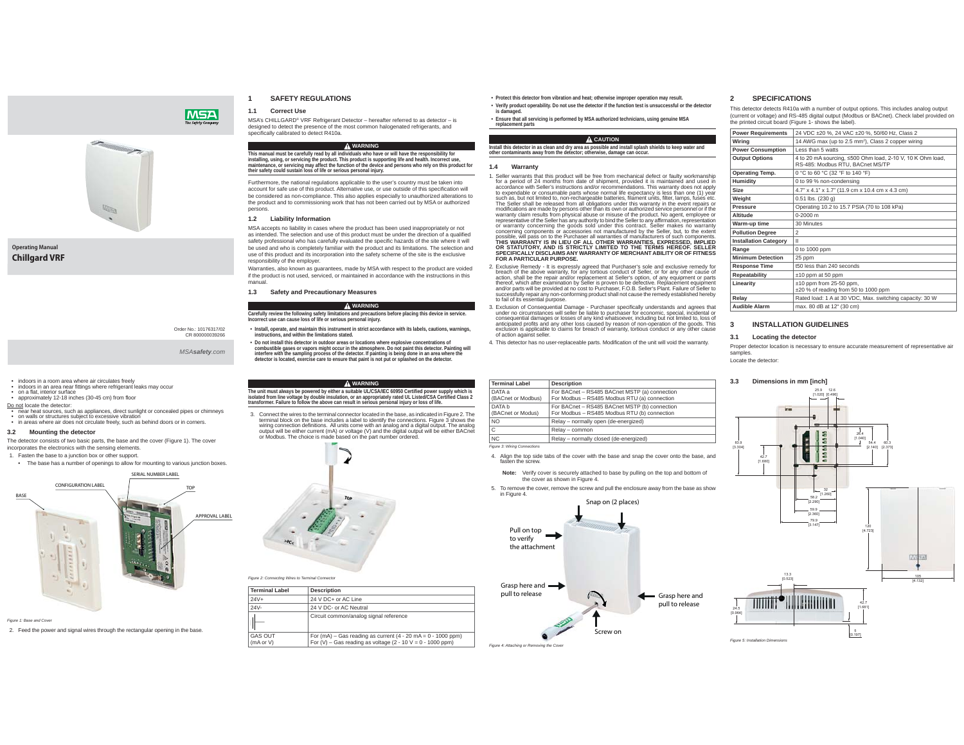# **1 SAFETY REGULATIONS**

### **1.1 Correct Use**

 MSA's CHILLGARD® VRF Refrigerant Detector – hereafter referred to as detector – is designed to detect the presence of the most common halogenated refrigerants, and specifically calibrated to detect R410a.

#### **WARNING**

.<br>Installing, using, or servicing the product. This product is supporting life and health. Incorrect use,<br>Installing, using, or servicing may affect the function of the device and persons who relate. Incorrect use,<br>mainten **their safety could sustain loss of life or serious personal injury.**

Furthermore, the national regulations applicable to the user's country must be taken into account for safe use of this product. Alternative use, or use outside of this specification will be considered as non-compliance. This also applies especially to unauthorized alterations to the product and to commissioning work that has not been carried out by MSA or authorized persons.

# **1.2 Liability Information**

MSA accepts no liability in cases where the product has been used inappropriately or not as intended. The selection and use of this product must be under the direction of a qualified safety professional who has carefully evaluated the specific hazards of the site where it will be used and who is completely familiar with the product and its limitations. The selection and use of this product and its incorporation into the safety scheme of the site is the exclusive responsibility of the employer.

Warranties, also known as guarantees, made by MSA with respect to the product are voided if the product is not used, serviced, or maintained in accordance with the instructions in this manual.

 **WARNING**

# **1.3 Safety and Precautionary Measures**

**Carefully review the following safety limitations and precautions before placing this device in service. Incorrect use can cause loss of life or serious personal injury.**

**• Install, operate, and maintain this instrument in strict accordance with its labels, cautions, warnings, instructions, and within the limitations stated.**

**• Do not install this detector in outdoor areas or locations where explosive concentrations of**  combustible gases or vapors might occur in the atmosphere. Do not paint this detector. Painting will<br>interfere with the sampling process of the detector. If painting is being done in an area where the<br>detector is located,

 **WARNING**

- **Protect this detector from vibration and heat; otherwise improper operation may result. • Verify product operability. Do not use the detector if the function test is unsuccessful or the detector is damaged**
- 

**• Ensure that all servicing is performed by MSA authorized technicians, using genuine MSA replacement parts**

# **A** CAUTION

# **Install this detector in as clean and dry area as possible and install splash shields to keep water and other contaminants away from the detector; otherwise, damage can occur.**

## **1.4 Warranty**

1. Seller warrants that this product will be free from mechanical defect or faulty workmanship for a period of 24 months from date of shipment, provided it is maintained and used in accordance with Seller's instructions and/or recommendations. This warranty does not apply to expendable or consumable parts whose normal life expectancy is less than one (1) year<br>such as, but not limited to, non-rechargeable batteries, filament units, filter, lamps, fuses etc.<br>The Seller shall be released from modifications are made by persons other than its own or authorized service personnel or if the warranty claim results from physical abuse or misuse of the product. No agent, employee or<br>representative of the Seller has any authority to bind the Seller to any affirmation, representation<br>or warranty concerning the concerning components or accessories not manufactured by the Seller, but, to the extent<br>possible, will pass on to the Purchaser all warranties of manufacturers of such components. possible, will pass on to the Purchaser all warranties of manufacturers of such components.<br>THIS WARRANTY IS IN LIEU OF ALL OTHER WARRANTIES, EXPRESSED, IMPLIED<br>OR STATUTORY, AND IS STRICTLY LIMITED TO THE TERMS HEREOF. SE **FOR A PARTICULAR PURPOSE.**

- 2. Exclusive Remedy It is expressly agreed that Purchaser's sole and exclusive remedy for<br>- breach of the above warranty, for any torilous conduct of Seller, or for any other cause of<br>action, shall be the repair and/or r and/or parts will be provided at no cost to Purchaser, F.O.B. Seller's Plant. Failure of Seller to successfully repair any non-conforming product shall not cause the remedy established hereby to fail of its essential purpose.
- 3. Exclusion of Consequential Damage Purchaser specifically understands and agrees that<br>under no circumstances will seller be liable to purchaser for economic, special, incidental or<br>consequential damages or losses of an anticipated profits and any other loss caused by reason of non-operation of the goods. This exclusion is applicable to claims for breach of warranty, tortious conduct or any other cause of action against seller.

4. This detector has no user-replaceable parts. Modification of the unit will void the warranty.

# **2 SPECIFICATIONS**

This detector detects R410a with a number of output options. This includes analog output (current or voltage) and RS-485 digital output (Modbus or BACnet). Check label provided on the printed circuit board (Figure 1- shows the label).

| <b>Power Requirements</b>    | 24 VDC ±20 %, 24 VAC ±20 %, 50/60 Hz, Class 2                                                  |
|------------------------------|------------------------------------------------------------------------------------------------|
| Wirina                       | 14 AWG max (up to 2.5 mm <sup>2</sup> ), Class 2 copper wiring                                 |
| <b>Power Consumption</b>     | Less than 5 watts                                                                              |
| <b>Output Options</b>        | 4 to 20 mA sourcing, ≤500 Ohm load, 2-10 V, 10 K Ohm load,<br>RS-485: Modbus RTU, BACnet MS/TP |
| <b>Operating Temp.</b>       | 0 °C to 60 °C (32 °F to 140 °F)                                                                |
| Humidity                     | 0 to 99 % non-condensing                                                                       |
| Size                         | 4.7" x 4.1" x 1.7" (11.9 cm x 10.4 cm x 4.3 cm)                                                |
| Weight                       | $0.51$ lbs. $(230q)$                                                                           |
| Pressure                     | Operating 10.2 to 15.7 PSIA (70 to 108 kPa)                                                    |
| Altitude                     | $0-2000$ m                                                                                     |
| Warm-up time                 | 30 Minutes                                                                                     |
| <b>Pollution Degree</b>      | 2                                                                                              |
| <b>Installation Category</b> | Ш                                                                                              |
| Range                        | 0 to 1000 ppm                                                                                  |
| <b>Minimum Detection</b>     | 25 ppm                                                                                         |
| <b>Response Time</b>         | t50 less than 240 seconds                                                                      |
| Repeatability                | $±10$ ppm at 50 ppm                                                                            |
| Linearity                    | $±10$ ppm from 25-50 ppm,<br>±20 % of reading from 50 to 1000 ppm                              |
| Relay                        | Rated load: 1 A at 30 VDC, Max. switching capacity: 30 W                                       |
| <b>Audible Alarm</b>         | max. 80 dB at 12" (30 cm)                                                                      |
|                              |                                                                                                |

# **3 INSTALLATION GUIDELINES**

# **3.1 Locating the detector**

Proper detector location is necessary to ensure accurate measurement of representative air samples. Locate the detector:





*MSAsafety.com* 

**MSA** 

- 
- indoors in a room area where air circulates freely<br>• indoors in an area near fittings where refrigerant leaks may occur<br>• approximately 12-18 inches (30-45 cm) from floor<br>• approximately 12-18 inches (30-45 cm) from floo
- 
- Do not locate the detector:

**Operating Manual Chillgard VRF**

.<br>• no walls or structures subject to excessive vibration for concealed pipes or chimneys<br>• in areas where air does not circulate freely, such as behind doors or in corners.

 $\mathbb{Z}_2$ 

# **3.2 Mounting the detector**

- The detector consists of two basic parts, the base and the cover (Figure 1). The cover incorporates the electronics with the sensing elements.
- 1. Fasten the base to a junction box or other support.
- The base has a number of openings to allow for mounting to various junction boxes.



# *Figure 1: Base and Cover*

2. Feed the power and signal wires through the rectangular opening in the base

.<br>The unit must always be powered by either a suitable UL/CSA/IEC 60950 Certified power supply which is<br>isolated from line voltage by double insulation, or an appropriately rated UL Listed/CSA Certified Class 2<br>transformer 3. Connect the wires to the terminal connector located in the base, as indicated in Figure 2. The terminal block on the base includes a label to identify the connections. Figure 3 shows the

wiring connection definitions. All units come with an analog and a digital output. The analog<br>output will be either current (mA) or voltage (V) and the digital output will be either BACnet<br>or Modbus. The choice is made bas



**Figure 2: Connecting Wires to Terminal Connector** 

| <b>Terminal Label</b>       | <b>Description</b>                                                                                                                               |
|-----------------------------|--------------------------------------------------------------------------------------------------------------------------------------------------|
| 24V+                        | 24 V DC+ or AC Line                                                                                                                              |
| 24V-                        | 24 V DC- or AC Neutral                                                                                                                           |
|                             | Circuit common/analog signal reference                                                                                                           |
| <b>GAS OUT</b><br>(mA or V) | For $(mA)$ – Gas reading as current $(4 - 20 \text{ mA} = 0 - 1000 \text{ ppm})$<br>For $(V)$ – Gas reading as voltage (2 - 10 V = 0 - 1000 ppm) |

#### **Terminal Label Description** DATA a (BACnet or Modbus) For BACnet – RS485 BACnet MSTP (a) connection For Modbus – RS485 Modbus RTU (a) connection DATA b (BACnet or Modus) For BACnet – RS485 BACnet MSTP (b) connection For Modbus – RS485 Modbus RTU (b) connection NO Relay – normally open (de-energized) Relay – common NC Relay – normally closed (de-energized)

*Figure 3: Wiring Connections* 4. Align the top side tabs of the cover with the base and snap the cover onto the base, and fasten the screw.

**Note:** Verify cover is securely attached to base by pulling on the top and bottom of the cover as shown in Figure 4.

5. To remove the cover, remove the screw and pull the enclosure away from the base as show in Figure 4.

> Grasp here and pull to release